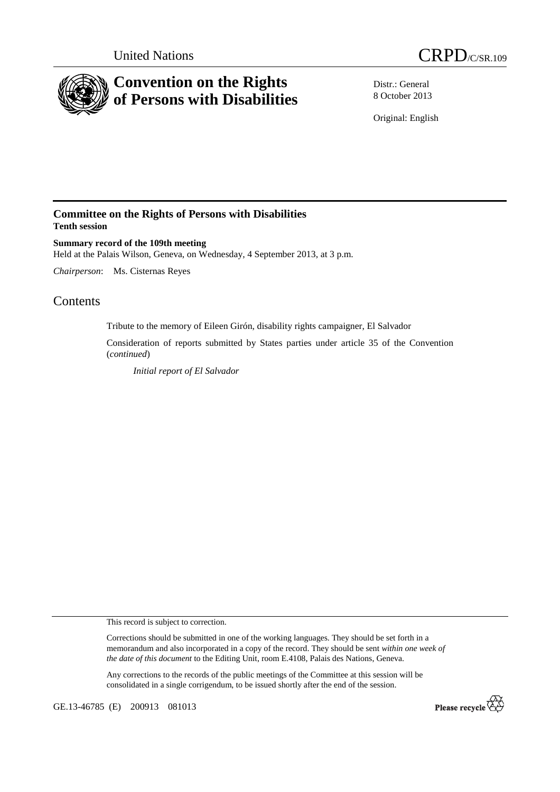



Distr.: General 8 October 2013

Original: English

# **Committee on the Rights of Persons with Disabilities Tenth session**

**Summary record of the 109th meeting**  Held at the Palais Wilson, Geneva, on Wednesday, 4 September 2013, at 3 p.m.

*Chairperson*: Ms. Cisternas Reyes

# Contents

Tribute to the memory of Eileen Girón, disability rights campaigner, El Salvador

Consideration of reports submitted by States parties under article 35 of the Convention (*continued*)

 *Initial report of El Salvador*

This record is subject to correction.

Corrections should be submitted in one of the working languages. They should be set forth in a memorandum and also incorporated in a copy of the record. They should be sent *within one week of the date of this document* to the Editing Unit, room E.4108, Palais des Nations, Geneva.

Any corrections to the records of the public meetings of the Committee at this session will be consolidated in a single corrigendum, to be issued shortly after the end of the session.

GE.13-46785 (E) 200913 081013

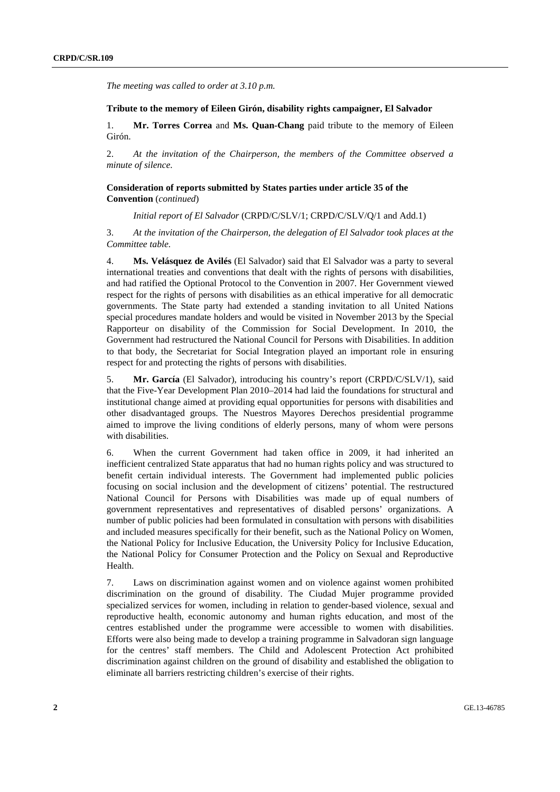*The meeting was called to order at 3.10 p.m.* 

#### **Tribute to the memory of Eileen Girón, disability rights campaigner, El Salvador**

1. **Mr. Torres Correa** and **Ms. Quan-Chang** paid tribute to the memory of Eileen Girón.

2. *At the invitation of the Chairperson, the members of the Committee observed a minute of silence.* 

## **Consideration of reports submitted by States parties under article 35 of the Convention** (*continued*)

 *Initial report of El Salvador* (CRPD/C/SLV/1; CRPD/C/SLV/Q/1 and Add.1)

3. *At the invitation of the Chairperson, the delegation of El Salvador took places at the Committee table.* 

4. **Ms. Velásquez de Avilés** (El Salvador) said that El Salvador was a party to several international treaties and conventions that dealt with the rights of persons with disabilities, and had ratified the Optional Protocol to the Convention in 2007. Her Government viewed respect for the rights of persons with disabilities as an ethical imperative for all democratic governments. The State party had extended a standing invitation to all United Nations special procedures mandate holders and would be visited in November 2013 by the Special Rapporteur on disability of the Commission for Social Development. In 2010, the Government had restructured the National Council for Persons with Disabilities. In addition to that body, the Secretariat for Social Integration played an important role in ensuring respect for and protecting the rights of persons with disabilities.

5. **Mr. García** (El Salvador), introducing his country's report (CRPD/C/SLV/1), said that the Five-Year Development Plan 2010–2014 had laid the foundations for structural and institutional change aimed at providing equal opportunities for persons with disabilities and other disadvantaged groups. The Nuestros Mayores Derechos presidential programme aimed to improve the living conditions of elderly persons, many of whom were persons with disabilities.

6. When the current Government had taken office in 2009, it had inherited an inefficient centralized State apparatus that had no human rights policy and was structured to benefit certain individual interests. The Government had implemented public policies focusing on social inclusion and the development of citizens' potential. The restructured National Council for Persons with Disabilities was made up of equal numbers of government representatives and representatives of disabled persons' organizations. A number of public policies had been formulated in consultation with persons with disabilities and included measures specifically for their benefit, such as the National Policy on Women, the National Policy for Inclusive Education, the University Policy for Inclusive Education, the National Policy for Consumer Protection and the Policy on Sexual and Reproductive Health.

7. Laws on discrimination against women and on violence against women prohibited discrimination on the ground of disability. The Ciudad Mujer programme provided specialized services for women, including in relation to gender-based violence, sexual and reproductive health, economic autonomy and human rights education, and most of the centres established under the programme were accessible to women with disabilities. Efforts were also being made to develop a training programme in Salvadoran sign language for the centres' staff members. The Child and Adolescent Protection Act prohibited discrimination against children on the ground of disability and established the obligation to eliminate all barriers restricting children's exercise of their rights.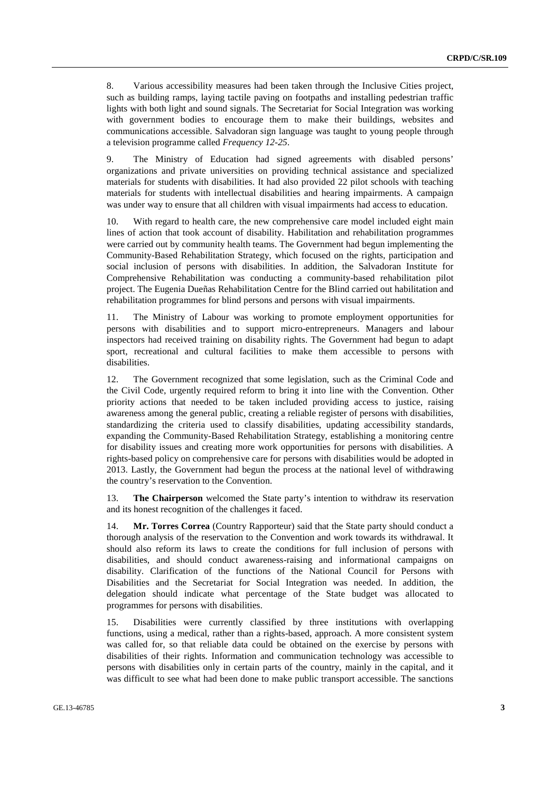8. Various accessibility measures had been taken through the Inclusive Cities project, such as building ramps, laying tactile paving on footpaths and installing pedestrian traffic lights with both light and sound signals. The Secretariat for Social Integration was working with government bodies to encourage them to make their buildings, websites and communications accessible. Salvadoran sign language was taught to young people through a television programme called *Frequency 12-25*.

9. The Ministry of Education had signed agreements with disabled persons' organizations and private universities on providing technical assistance and specialized materials for students with disabilities. It had also provided 22 pilot schools with teaching materials for students with intellectual disabilities and hearing impairments. A campaign was under way to ensure that all children with visual impairments had access to education.

10. With regard to health care, the new comprehensive care model included eight main lines of action that took account of disability. Habilitation and rehabilitation programmes were carried out by community health teams. The Government had begun implementing the Community-Based Rehabilitation Strategy, which focused on the rights, participation and social inclusion of persons with disabilities. In addition, the Salvadoran Institute for Comprehensive Rehabilitation was conducting a community-based rehabilitation pilot project. The Eugenia Dueñas Rehabilitation Centre for the Blind carried out habilitation and rehabilitation programmes for blind persons and persons with visual impairments.

11. The Ministry of Labour was working to promote employment opportunities for persons with disabilities and to support micro-entrepreneurs. Managers and labour inspectors had received training on disability rights. The Government had begun to adapt sport, recreational and cultural facilities to make them accessible to persons with disabilities.

12. The Government recognized that some legislation, such as the Criminal Code and the Civil Code, urgently required reform to bring it into line with the Convention. Other priority actions that needed to be taken included providing access to justice, raising awareness among the general public, creating a reliable register of persons with disabilities, standardizing the criteria used to classify disabilities, updating accessibility standards, expanding the Community-Based Rehabilitation Strategy, establishing a monitoring centre for disability issues and creating more work opportunities for persons with disabilities. A rights-based policy on comprehensive care for persons with disabilities would be adopted in 2013. Lastly, the Government had begun the process at the national level of withdrawing the country's reservation to the Convention.

13. **The Chairperson** welcomed the State party's intention to withdraw its reservation and its honest recognition of the challenges it faced.

14. **Mr. Torres Correa** (Country Rapporteur) said that the State party should conduct a thorough analysis of the reservation to the Convention and work towards its withdrawal. It should also reform its laws to create the conditions for full inclusion of persons with disabilities, and should conduct awareness-raising and informational campaigns on disability. Clarification of the functions of the National Council for Persons with Disabilities and the Secretariat for Social Integration was needed. In addition, the delegation should indicate what percentage of the State budget was allocated to programmes for persons with disabilities.

15. Disabilities were currently classified by three institutions with overlapping functions, using a medical, rather than a rights-based, approach. A more consistent system was called for, so that reliable data could be obtained on the exercise by persons with disabilities of their rights. Information and communication technology was accessible to persons with disabilities only in certain parts of the country, mainly in the capital, and it was difficult to see what had been done to make public transport accessible. The sanctions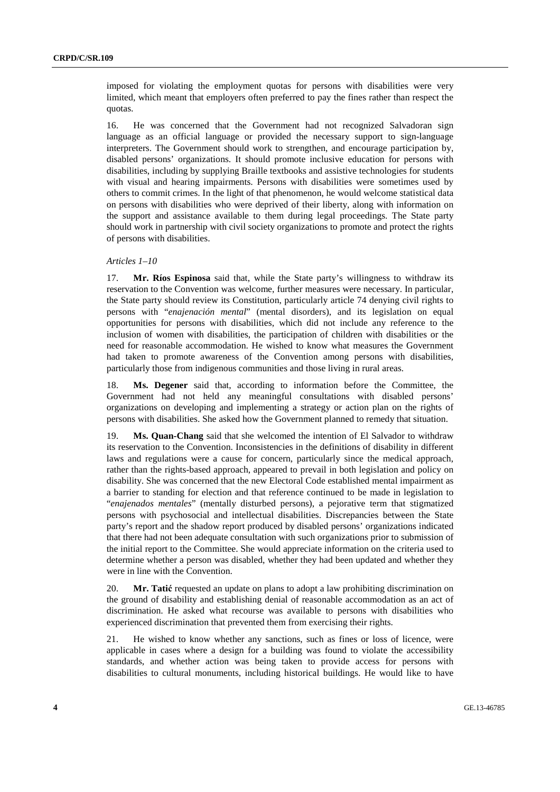imposed for violating the employment quotas for persons with disabilities were very limited, which meant that employers often preferred to pay the fines rather than respect the quotas.

16. He was concerned that the Government had not recognized Salvadoran sign language as an official language or provided the necessary support to sign-language interpreters. The Government should work to strengthen, and encourage participation by, disabled persons' organizations. It should promote inclusive education for persons with disabilities, including by supplying Braille textbooks and assistive technologies for students with visual and hearing impairments. Persons with disabilities were sometimes used by others to commit crimes. In the light of that phenomenon, he would welcome statistical data on persons with disabilities who were deprived of their liberty, along with information on the support and assistance available to them during legal proceedings. The State party should work in partnership with civil society organizations to promote and protect the rights of persons with disabilities.

#### *Articles 1–10*

17. **Mr. Ríos Espinosa** said that, while the State party's willingness to withdraw its reservation to the Convention was welcome, further measures were necessary. In particular, the State party should review its Constitution, particularly article 74 denying civil rights to persons with "*enajenación mental*" (mental disorders), and its legislation on equal opportunities for persons with disabilities, which did not include any reference to the inclusion of women with disabilities, the participation of children with disabilities or the need for reasonable accommodation. He wished to know what measures the Government had taken to promote awareness of the Convention among persons with disabilities, particularly those from indigenous communities and those living in rural areas.

18. **Ms. Degener** said that, according to information before the Committee, the Government had not held any meaningful consultations with disabled persons' organizations on developing and implementing a strategy or action plan on the rights of persons with disabilities. She asked how the Government planned to remedy that situation.

**Ms. Quan-Chang** said that she welcomed the intention of El Salvador to withdraw its reservation to the Convention. Inconsistencies in the definitions of disability in different laws and regulations were a cause for concern, particularly since the medical approach, rather than the rights-based approach, appeared to prevail in both legislation and policy on disability. She was concerned that the new Electoral Code established mental impairment as a barrier to standing for election and that reference continued to be made in legislation to "*enajenados mentales*" (mentally disturbed persons), a pejorative term that stigmatized persons with psychosocial and intellectual disabilities. Discrepancies between the State party's report and the shadow report produced by disabled persons' organizations indicated that there had not been adequate consultation with such organizations prior to submission of the initial report to the Committee. She would appreciate information on the criteria used to determine whether a person was disabled, whether they had been updated and whether they were in line with the Convention.

20. **Mr. Tatić** requested an update on plans to adopt a law prohibiting discrimination on the ground of disability and establishing denial of reasonable accommodation as an act of discrimination. He asked what recourse was available to persons with disabilities who experienced discrimination that prevented them from exercising their rights.

21. He wished to know whether any sanctions, such as fines or loss of licence, were applicable in cases where a design for a building was found to violate the accessibility standards, and whether action was being taken to provide access for persons with disabilities to cultural monuments, including historical buildings. He would like to have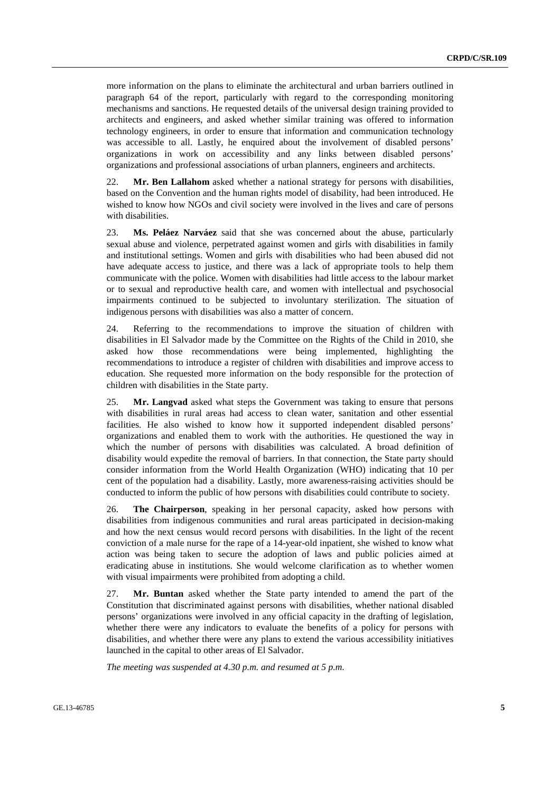more information on the plans to eliminate the architectural and urban barriers outlined in paragraph 64 of the report, particularly with regard to the corresponding monitoring mechanisms and sanctions. He requested details of the universal design training provided to architects and engineers, and asked whether similar training was offered to information technology engineers, in order to ensure that information and communication technology was accessible to all. Lastly, he enquired about the involvement of disabled persons' organizations in work on accessibility and any links between disabled persons' organizations and professional associations of urban planners, engineers and architects.

22. **Mr. Ben Lallahom** asked whether a national strategy for persons with disabilities, based on the Convention and the human rights model of disability, had been introduced. He wished to know how NGOs and civil society were involved in the lives and care of persons with disabilities.

23. **Ms. Peláez Narváez** said that she was concerned about the abuse, particularly sexual abuse and violence, perpetrated against women and girls with disabilities in family and institutional settings. Women and girls with disabilities who had been abused did not have adequate access to justice, and there was a lack of appropriate tools to help them communicate with the police. Women with disabilities had little access to the labour market or to sexual and reproductive health care, and women with intellectual and psychosocial impairments continued to be subjected to involuntary sterilization. The situation of indigenous persons with disabilities was also a matter of concern.

24. Referring to the recommendations to improve the situation of children with disabilities in El Salvador made by the Committee on the Rights of the Child in 2010, she asked how those recommendations were being implemented, highlighting the recommendations to introduce a register of children with disabilities and improve access to education. She requested more information on the body responsible for the protection of children with disabilities in the State party.

25. **Mr. Langvad** asked what steps the Government was taking to ensure that persons with disabilities in rural areas had access to clean water, sanitation and other essential facilities. He also wished to know how it supported independent disabled persons' organizations and enabled them to work with the authorities. He questioned the way in which the number of persons with disabilities was calculated. A broad definition of disability would expedite the removal of barriers. In that connection, the State party should consider information from the World Health Organization (WHO) indicating that 10 per cent of the population had a disability. Lastly, more awareness-raising activities should be conducted to inform the public of how persons with disabilities could contribute to society.

26. **The Chairperson**, speaking in her personal capacity, asked how persons with disabilities from indigenous communities and rural areas participated in decision-making and how the next census would record persons with disabilities. In the light of the recent conviction of a male nurse for the rape of a 14-year-old inpatient, she wished to know what action was being taken to secure the adoption of laws and public policies aimed at eradicating abuse in institutions. She would welcome clarification as to whether women with visual impairments were prohibited from adopting a child.

27. **Mr. Buntan** asked whether the State party intended to amend the part of the Constitution that discriminated against persons with disabilities, whether national disabled persons' organizations were involved in any official capacity in the drafting of legislation, whether there were any indicators to evaluate the benefits of a policy for persons with disabilities, and whether there were any plans to extend the various accessibility initiatives launched in the capital to other areas of El Salvador.

*The meeting was suspended at 4.30 p.m. and resumed at 5 p.m.*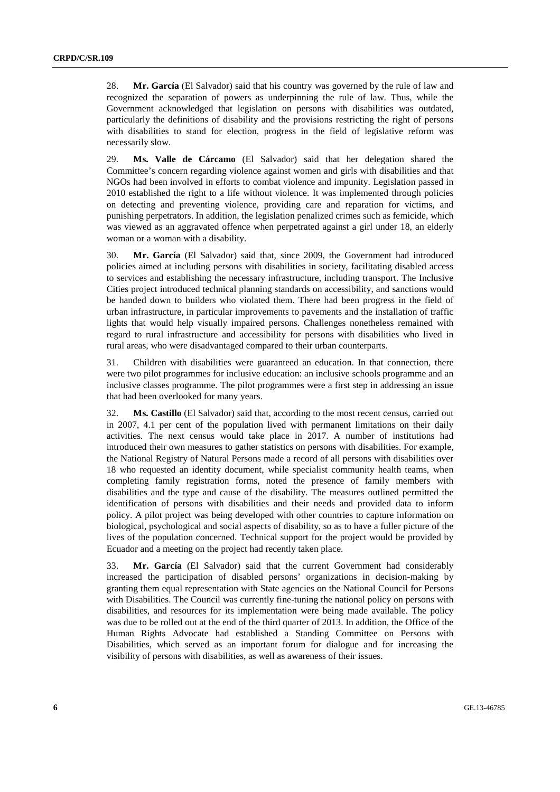28. **Mr. García** (El Salvador) said that his country was governed by the rule of law and recognized the separation of powers as underpinning the rule of law. Thus, while the Government acknowledged that legislation on persons with disabilities was outdated, particularly the definitions of disability and the provisions restricting the right of persons with disabilities to stand for election, progress in the field of legislative reform was necessarily slow.

29. **Ms. Valle de Cárcamo** (El Salvador) said that her delegation shared the Committee's concern regarding violence against women and girls with disabilities and that NGOs had been involved in efforts to combat violence and impunity. Legislation passed in 2010 established the right to a life without violence. It was implemented through policies on detecting and preventing violence, providing care and reparation for victims, and punishing perpetrators. In addition, the legislation penalized crimes such as femicide, which was viewed as an aggravated offence when perpetrated against a girl under 18, an elderly woman or a woman with a disability.

30. **Mr. García** (El Salvador) said that, since 2009, the Government had introduced policies aimed at including persons with disabilities in society, facilitating disabled access to services and establishing the necessary infrastructure, including transport. The Inclusive Cities project introduced technical planning standards on accessibility, and sanctions would be handed down to builders who violated them. There had been progress in the field of urban infrastructure, in particular improvements to pavements and the installation of traffic lights that would help visually impaired persons. Challenges nonetheless remained with regard to rural infrastructure and accessibility for persons with disabilities who lived in rural areas, who were disadvantaged compared to their urban counterparts.

31. Children with disabilities were guaranteed an education. In that connection, there were two pilot programmes for inclusive education: an inclusive schools programme and an inclusive classes programme. The pilot programmes were a first step in addressing an issue that had been overlooked for many years.

32. **Ms. Castillo** (El Salvador) said that, according to the most recent census, carried out in 2007, 4.1 per cent of the population lived with permanent limitations on their daily activities. The next census would take place in 2017. A number of institutions had introduced their own measures to gather statistics on persons with disabilities. For example, the National Registry of Natural Persons made a record of all persons with disabilities over 18 who requested an identity document, while specialist community health teams, when completing family registration forms, noted the presence of family members with disabilities and the type and cause of the disability. The measures outlined permitted the identification of persons with disabilities and their needs and provided data to inform policy. A pilot project was being developed with other countries to capture information on biological, psychological and social aspects of disability, so as to have a fuller picture of the lives of the population concerned. Technical support for the project would be provided by Ecuador and a meeting on the project had recently taken place.

33. **Mr. García** (El Salvador) said that the current Government had considerably increased the participation of disabled persons' organizations in decision-making by granting them equal representation with State agencies on the National Council for Persons with Disabilities. The Council was currently fine-tuning the national policy on persons with disabilities, and resources for its implementation were being made available. The policy was due to be rolled out at the end of the third quarter of 2013. In addition, the Office of the Human Rights Advocate had established a Standing Committee on Persons with Disabilities, which served as an important forum for dialogue and for increasing the visibility of persons with disabilities, as well as awareness of their issues.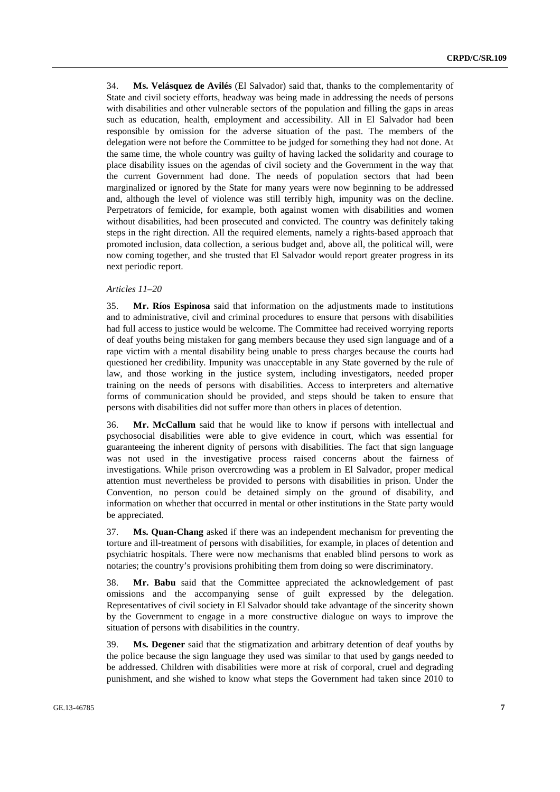34. **Ms. Velásquez de Avilés** (El Salvador) said that, thanks to the complementarity of State and civil society efforts, headway was being made in addressing the needs of persons with disabilities and other vulnerable sectors of the population and filling the gaps in areas such as education, health, employment and accessibility. All in El Salvador had been responsible by omission for the adverse situation of the past. The members of the delegation were not before the Committee to be judged for something they had not done. At the same time, the whole country was guilty of having lacked the solidarity and courage to place disability issues on the agendas of civil society and the Government in the way that the current Government had done. The needs of population sectors that had been marginalized or ignored by the State for many years were now beginning to be addressed and, although the level of violence was still terribly high, impunity was on the decline. Perpetrators of femicide, for example, both against women with disabilities and women without disabilities, had been prosecuted and convicted. The country was definitely taking steps in the right direction. All the required elements, namely a rights-based approach that promoted inclusion, data collection, a serious budget and, above all, the political will, were now coming together, and she trusted that El Salvador would report greater progress in its next periodic report.

## *Articles 11–20*

35. **Mr. Ríos Espinosa** said that information on the adjustments made to institutions and to administrative, civil and criminal procedures to ensure that persons with disabilities had full access to justice would be welcome. The Committee had received worrying reports of deaf youths being mistaken for gang members because they used sign language and of a rape victim with a mental disability being unable to press charges because the courts had questioned her credibility. Impunity was unacceptable in any State governed by the rule of law, and those working in the justice system, including investigators, needed proper training on the needs of persons with disabilities. Access to interpreters and alternative forms of communication should be provided, and steps should be taken to ensure that persons with disabilities did not suffer more than others in places of detention.

36. **Mr. McCallum** said that he would like to know if persons with intellectual and psychosocial disabilities were able to give evidence in court, which was essential for guaranteeing the inherent dignity of persons with disabilities. The fact that sign language was not used in the investigative process raised concerns about the fairness of investigations. While prison overcrowding was a problem in El Salvador, proper medical attention must nevertheless be provided to persons with disabilities in prison. Under the Convention, no person could be detained simply on the ground of disability, and information on whether that occurred in mental or other institutions in the State party would be appreciated.

37. **Ms. Quan-Chang** asked if there was an independent mechanism for preventing the torture and ill-treatment of persons with disabilities, for example, in places of detention and psychiatric hospitals. There were now mechanisms that enabled blind persons to work as notaries; the country's provisions prohibiting them from doing so were discriminatory.

38. **Mr. Babu** said that the Committee appreciated the acknowledgement of past omissions and the accompanying sense of guilt expressed by the delegation. Representatives of civil society in El Salvador should take advantage of the sincerity shown by the Government to engage in a more constructive dialogue on ways to improve the situation of persons with disabilities in the country.

39. **Ms. Degener** said that the stigmatization and arbitrary detention of deaf youths by the police because the sign language they used was similar to that used by gangs needed to be addressed. Children with disabilities were more at risk of corporal, cruel and degrading punishment, and she wished to know what steps the Government had taken since 2010 to